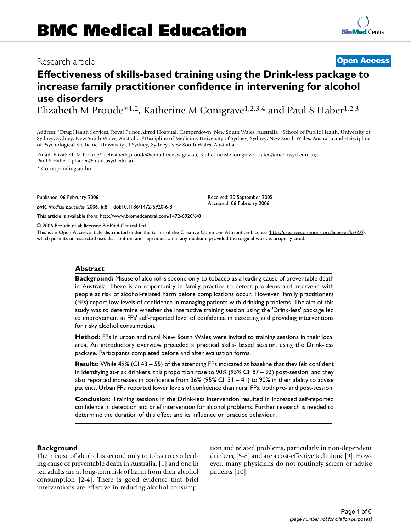# Research article **[Open Access](http://www.biomedcentral.com/info/about/charter/)**

**Effectiveness of skills-based training using the Drink-less package to increase family practitioner confidence in intervening for alcohol use disorders**

Elizabeth M Proude\*1,2, Katherine M Conigrave<sup>1,2,3,4</sup> and Paul S Haber<sup>1,2,3</sup>

Address: 1Drug Health Services, Royal Prince Alfred Hospital, Camperdown, New South Wales, Australia, 2School of Public Health, University of Sydney, Sydney, New South Wales, Australia, 3Discipline of Medicine, University of Sydney, Sydney, New South Wales, Australia and 4Discipline of Psychological Medicine, University of Sydney, Sydney, New South Wales, Australia

Email: Elizabeth M Proude\* - elizabeth.proude@email.cs.nsw.gov.au; Katherine M Conigrave - katec@med.usyd.edu.au; Paul S Haber - phaber@mail.usyd.edu.au

\* Corresponding author

Published: 06 February 2006

*BMC Medical Education* 2006, **6**:8 doi:10.1186/1472-6920-6-8

[This article is available from: http://www.biomedcentral.com/1472-6920/6/8](http://www.biomedcentral.com/1472-6920/6/8)

© 2006 Proude et al; licensee BioMed Central Ltd.

This is an Open Access article distributed under the terms of the Creative Commons Attribution License [\(http://creativecommons.org/licenses/by/2.0\)](http://creativecommons.org/licenses/by/2.0), which permits unrestricted use, distribution, and reproduction in any medium, provided the original work is properly cited.

Received: 20 September 2005 Accepted: 06 February 2006

#### **Abstract**

**Background:** Misuse of alcohol is second only to tobacco as a leading cause of preventable death in Australia. There is an opportunity in family practice to detect problems and intervene with people at risk of alcohol-related harm before complications occur. However, family practitioners (FPs) report low levels of confidence in managing patients with drinking problems. The aim of this study was to determine whether the interactive training session using the 'Drink-less' package led to improvement in FPs' self-reported level of confidence in detecting and providing interventions for risky alcohol consumption.

**Method:** FPs in urban and rural New South Wales were invited to training sessions in their local area. An introductory overview preceded a practical skills- based session, using the Drink-less package. Participants completed before and after evaluation forms.

**Results:** While 49% (CI 43 – 55) of the attending FPs indicated at baseline that they felt confident in identifying at-risk drinkers, this proportion rose to 90% (95% CI: 87 – 93) post-session, and they also reported increases in confidence from 36% (95% CI: 31 – 41) to 90% in their ability to advise patients. Urban FPs reported lower levels of confidence than rural FPs, both pre- and post-session.

**Conclusion:** Training sessions in the Drink-less intervention resulted in increased self-reported confidence in detection and brief intervention for alcohol problems. Further research is needed to determine the duration of this effect and its influence on practice behaviour.

### **Background**

The misuse of alcohol is second only to tobacco as a leading cause of preventable death in Australia, [1] and one in ten adults are at long-term risk of harm from their alcohol consumption [2-4]. There is good evidence that brief interventions are effective in reducing alcohol consumption and related problems, particularly in non-dependent drinkers, [5-8] and are a cost-effective technique [9]. However, many physicians do not routinely screen or advise patients [10].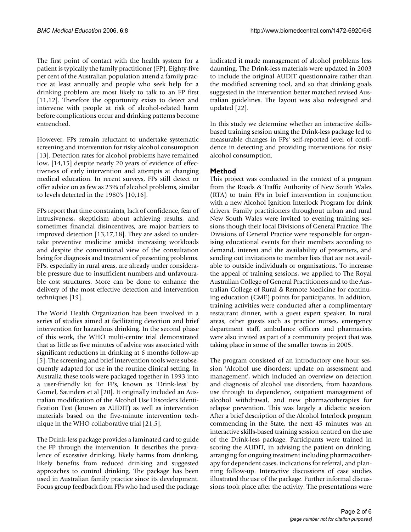The first point of contact with the health system for a patient is typically the family practitioner (FP). Eighty-five per cent of the Australian population attend a family practice at least annually and people who seek help for a drinking problem are most likely to talk to an FP first [11,12]. Therefore the opportunity exists to detect and intervene with people at risk of alcohol-related harm before complications occur and drinking patterns become entrenched.

However, FPs remain reluctant to undertake systematic screening and intervention for risky alcohol consumption [13]. Detection rates for alcohol problems have remained low, [14,15] despite nearly 20 years of evidence of effectiveness of early intervention and attempts at changing medical education. In recent surveys, FPs still detect or offer advice on as few as 23% of alcohol problems, similar to levels detected in the 1980's [10,16].

FPs report that time constraints, lack of confidence, fear of intrusiveness, skepticism about achieving results, and sometimes financial disincentives, are major barriers to improved detection [13,17,18]. They are asked to undertake preventive medicine amidst increasing workloads and despite the conventional view of the consultation being for diagnosis and treatment of presenting problems. FPs, especially in rural areas, are already under considerable pressure due to insufficient numbers and unfavourable cost structures. More can be done to enhance the delivery of the most effective detection and intervention techniques [19].

The World Health Organization has been involved in a series of studies aimed at facilitating detection and brief intervention for hazardous drinking. In the second phase of this work, the WHO multi-centre trial demonstrated that as little as five minutes of advice was associated with significant reductions in drinking at 6 months follow-up [5]. The screening and brief intervention tools were subsequently adapted for use in the routine clinical setting. In Australia these tools were packaged together in 1993 into a user-friendly kit for FPs, known as 'Drink-less' by Gomel, Saunders et al [20]. It originally included an Australian modification of the Alcohol Use Disorders Identification Test (known as AUDIT) as well as intervention materials based on the five-minute intervention technique in the WHO collaborative trial [21,5].

The Drink-less package provides a laminated card to guide the FP through the intervention. It describes the prevalence of excessive drinking, likely harms from drinking, likely benefits from reduced drinking and suggested approaches to control drinking. The package has been used in Australian family practice since its development. Focus group feedback from FPs who had used the package

indicated it made management of alcohol problems less daunting. The Drink-less materials were updated in 2003 to include the original AUDIT questionnaire rather than the modified screening tool, and so that drinking goals suggested in the intervention better matched revised Australian guidelines. The layout was also redesigned and updated [22].

In this study we determine whether an interactive skillsbased training session using the Drink-less package led to measurable changes in FPs' self-reported level of confidence in detecting and providing interventions for risky alcohol consumption.

### **Method**

This project was conducted in the context of a program from the Roads & Traffic Authority of New South Wales (RTA) to train FPs in brief intervention in conjunction with a new Alcohol Ignition Interlock Program for drink drivers. Family practitioners throughout urban and rural New South Wales were invited to evening training sessions though their local Divisions of General Practice. The Divisions of General Practice were responsible for organising educational events for their members according to demand, interest and the availability of presenters, and sending out invitations to member lists that are not available to outside individuals or organisations. To increase the appeal of training sessions, we applied to The Royal Australian College of General Practitioners and to the Australian College of Rural & Remote Medicine for continuing education (CME) points for participants. In addition, training activities were conducted after a complimentary restaurant dinner, with a guest expert speaker. In rural areas, other guests such as practice nurses, emergency department staff, ambulance officers and pharmacists were also invited as part of a community project that was taking place in some of the smaller towns in 2005.

The program consisted of an introductory one-hour session 'Alcohol use disorders: update on assessment and management', which included an overview on detection and diagnosis of alcohol use disorders, from hazardous use through to dependence, outpatient management of alcohol withdrawal, and new pharmacotherapies for relapse prevention. This was largely a didactic session. After a brief description of the Alcohol Interlock program commencing in the State, the next 45 minutes was an interactive skills-based training session centred on the use of the Drink-less package. Participants were trained in scoring the AUDIT, in advising the patient on drinking, arranging for ongoing treatment including pharmacotherapy for dependent cases, indications for referral, and planning follow-up. Interactive discussions of case studies illustrated the use of the package. Further informal discussions took place after the activity. The presentations were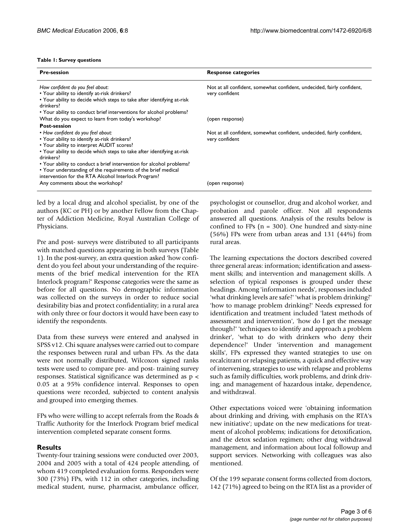#### **Table 1: Survey questions**

| <b>Pre-session</b>                                                                  | <b>Response categories</b>                                             |
|-------------------------------------------------------------------------------------|------------------------------------------------------------------------|
| How confident do you feel about:                                                    | Not at all confident, somewhat confident, undecided, fairly confident, |
| • Your ability to identify at-risk drinkers?                                        | very confident                                                         |
| . Your ability to decide which steps to take after identifying at-risk<br>drinkers? |                                                                        |
| • Your ability to conduct brief interventions for alcohol problems?                 |                                                                        |
| What do you expect to learn from today's workshop?                                  | (open response)                                                        |
| <b>Post-session</b>                                                                 |                                                                        |
| • How confident do you feel about:                                                  | Not at all confident, somewhat confident, undecided, fairly confident, |
| • Your ability to identify at-risk drinkers?                                        | very confident                                                         |
| • Your ability to interpret AUDIT scores?                                           |                                                                        |
| • Your ability to decide which steps to take after identifying at-risk<br>drinkers? |                                                                        |
| • Your ability to conduct a brief intervention for alcohol problems?                |                                                                        |
| • Your understanding of the requirements of the brief medical                       |                                                                        |
| intervention for the RTA Alcohol Interlock Program?                                 |                                                                        |
| Any comments about the workshop?                                                    | (open response)                                                        |
|                                                                                     |                                                                        |

led by a local drug and alcohol specialist, by one of the authors (KC or PH) or by another Fellow from the Chapter of Addiction Medicine, Royal Australian College of Physicians.

Pre and post- surveys were distributed to all participants with matched questions appearing in both surveys (Table 1). In the post-survey, an extra question asked 'how confident do you feel about your understanding of the requirements of the brief medical intervention for the RTA Interlock program?' Response categories were the same as before for all questions. No demographic information was collected on the surveys in order to reduce social desirability bias and protect confidentiality; in a rural area with only three or four doctors it would have been easy to identify the respondents.

Data from these surveys were entered and analysed in SPSS v12. Chi square analyses were carried out to compare the responses between rural and urban FPs. As the data were not normally distributed, Wilcoxon signed ranks tests were used to compare pre- and post- training survey responses. Statistical significance was determined as p < 0.05 at a 95% confidence interval. Responses to open questions were recorded, subjected to content analysis and grouped into emerging themes.

FPs who were willing to accept referrals from the Roads & Traffic Authority for the Interlock Program brief medical intervention completed separate consent forms.

#### **Results**

Twenty-four training sessions were conducted over 2003, 2004 and 2005 with a total of 424 people attending, of whom 419 completed evaluation forms. Responders were 300 (73%) FPs, with 112 in other categories, including medical student, nurse, pharmacist, ambulance officer,

psychologist or counsellor, drug and alcohol worker, and probation and parole officer. Not all respondents answered all questions. Analysis of the results below is confined to FPs  $(n = 300)$ . One hundred and sixty-nine (56%) FPs were from urban areas and 131 (44%) from rural areas.

The learning expectations the doctors described covered three general areas: information; identification and assessment skills; and intervention and management skills. A selection of typical responses is grouped under these headings. Among 'information needs', responses included 'what drinking levels are safe?' 'what is problem drinking?' 'how to manage problem drinking?' Needs expressed for identification and treatment included 'latest methods of assessment and intervention', 'how do I get the message through?' 'techniques to identify and approach a problem drinker', 'what to do with drinkers who deny their dependence?' Under 'intervention and management skills', FPs expressed they wanted strategies to use on recalcitrant or relapsing patients, a quick and effective way of intervening, strategies to use with relapse and problems such as family difficulties, work problems, and drink driving; and management of hazardous intake, dependence, and withdrawal.

Other expectations voiced were 'obtaining information about drinking and driving, with emphasis on the RTA's new initiative'; update on the new medications for treatment of alcohol problems; indications for detoxification, and the detox sedation regimen; other drug withdrawal management, and information about local followup and support services. Networking with colleagues was also mentioned.

Of the 199 separate consent forms collected from doctors, 142 (71%) agreed to being on the RTA list as a provider of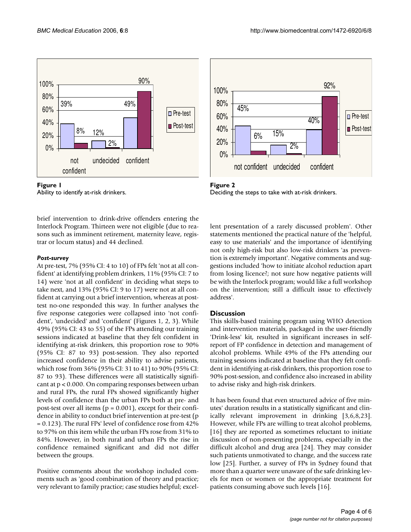



brief intervention to drink-drive offenders entering the Interlock Program. Thirteen were not eligible (due to reasons such as imminent retirement, maternity leave, registrar or locum status) and 44 declined.

#### *Post-survey*

At pre-test, 7% (95% CI: 4 to 10) of FPs felt 'not at all confident' at identifying problem drinkers, 11% (95% CI: 7 to 14) were 'not at all confident' in deciding what steps to take next, and 13% (95% CI: 9 to 17) were not at all confident at carrying out a brief intervention, whereas at posttest no-one responded this way. In further analyses the five response categories were collapsed into 'not confident', 'undecided' and 'confident' (Figures 1, 2, 3). While 49% (95% CI: 43 to 55) of the FPs attending our training sessions indicated at baseline that they felt confident in identifying at-risk drinkers, this proportion rose to 90% (95% CI: 87 to 93) post-session. They also reported increased confidence in their ability to advise patients, which rose from 36% (95% CI: 31 to 41) to 90% (95% CI: 87 to 93). These differences were all statistically significant at p < 0.000. On comparing responses between urban and rural FPs, the rural FPs showed significantly higher levels of confidence than the urban FPs both at pre- and post-test over all items ( $p = 0.001$ ), except for their confidence in ability to conduct brief intervention at pre-test (p = 0.123). The rural FPs' level of confidence rose from 42% to 97% on this item while the urban FPs rose from 31% to 84%. However, in both rural and urban FPs the rise in confidence remained significant and did not differ between the groups.

Positive comments about the workshop included comments such as 'good combination of theory and practice; very relevant to family practice; case studies helpful; excel-



**Figure 2** Deciding the steps to take with at-risk drinkers.

lent presentation of a rarely discussed problem'. Other statements mentioned the practical nature of the 'helpful, easy to use materials' and the importance of identifying not only high-risk but also low-risk drinkers 'as prevention is extremely important'. Negative comments and suggestions included 'how to initiate alcohol reduction apart from losing licence?; not sure how negative patients will be with the Interlock program; would like a full workshop on the intervention; still a difficult issue to effectively address'.

### **Discussion**

This skills-based training program using WHO detection and intervention materials, packaged in the user-friendly 'Drink-less' kit, resulted in significant increases in selfreport of FP confidence in detection and management of alcohol problems. While 49% of the FPs attending our training sessions indicated at baseline that they felt confident in identifying at-risk drinkers, this proportion rose to 90% post-session, and confidence also increased in ability to advise risky and high-risk drinkers.

It has been found that even structured advice of five minutes' duration results in a statistically significant and clinically relevant improvement in drinking [3,6,8,23]. However, while FPs are willing to treat alcohol problems, [16] they are reported as sometimes reluctant to initiate discussion of non-presenting problems, especially in the difficult alcohol and drug area [24]. They may consider such patients unmotivated to change, and the success rate low [25]. Further, a survey of FPs in Sydney found that more than a quarter were unaware of the safe drinking levels for men or women or the appropriate treatment for patients consuming above such levels [16].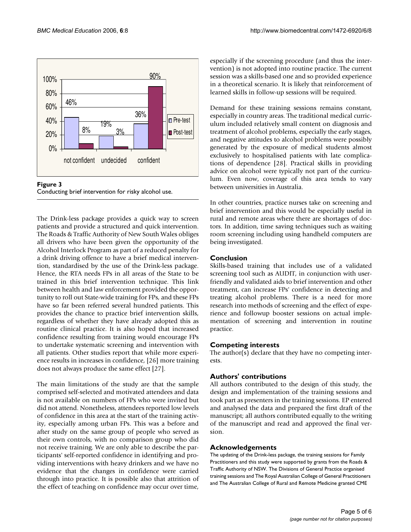



The Drink-less package provides a quick way to screen patients and provide a structured and quick intervention. The Roads & Traffic Authority of New South Wales obliges all drivers who have been given the opportunity of the Alcohol Interlock Program as part of a reduced penalty for a drink driving offence to have a brief medical intervention, standardised by the use of the Drink-less package. Hence, the RTA needs FPs in all areas of the State to be trained in this brief intervention technique. This link between health and law enforcement provided the opportunity to roll out State-wide training for FPs, and these FPs have so far been referred several hundred patients. This provides the chance to practice brief intervention skills, regardless of whether they have already adopted this as routine clinical practice. It is also hoped that increased confidence resulting from training would encourage FPs to undertake systematic screening and intervention with all patients. Other studies report that while more experience results in increases in confidence, [26] more training does not always produce the same effect [27].

The main limitations of the study are that the sample comprised self-selected and motivated attendees and data is not available on numbers of FPs who were invited but did not attend. Nonetheless, attendees reported low levels of confidence in this area at the start of the training activity, especially among urban FPs. This was a before and after study on the same group of people who served as their own controls, with no comparison group who did not receive training. We are only able to describe the participants' self-reported confidence in identifying and providing interventions with heavy drinkers and we have no evidence that the changes in confidence were carried through into practice. It is possible also that attrition of the effect of teaching on confidence may occur over time,

especially if the screening procedure (and thus the intervention) is not adopted into routine practice. The current session was a skills-based one and so provided experience in a theoretical scenario. It is likely that reinforcement of learned skills in follow-up sessions will be required.

Demand for these training sessions remains constant, especially in country areas. The traditional medical curriculum included relatively small content on diagnosis and treatment of alcohol problems, especially the early stages, and negative attitudes to alcohol problems were possibly generated by the exposure of medical students almost exclusively to hospitalised patients with late complications of dependence [28]. Practical skills in providing advice on alcohol were typically not part of the curriculum. Even now, coverage of this area tends to vary between universities in Australia.

In other countries, practice nurses take on screening and brief intervention and this would be especially useful in rural and remote areas where there are shortages of doctors. In addition, time saving techniques such as waiting room screening including using handheld computers are being investigated.

## **Conclusion**

Skills-based training that includes use of a validated screening tool such as AUDIT, in conjunction with userfriendly and validated aids to brief intervention and other treatment, can increase FPs' confidence in detecting and treating alcohol problems. There is a need for more research into methods of screening and the effect of experience and followup booster sessions on actual implementation of screening and intervention in routine practice.

# **Competing interests**

The author(s) declare that they have no competing interests.

# **Authors' contributions**

All authors contributed to the design of this study, the design and implementation of the training sessions and took part as presenters in the training sessions. EP entered and analysed the data and prepared the first draft of the manuscript; all authors contributed equally to the writing of the manuscript and read and approved the final version.

# **Acknowledgements**

The updating of the Drink-less package, the training sessions for Family Practitioners and this study were supported by grants from the Roads & Traffic Authority of NSW. The Divisions of General Practice organised training sessions and The Royal Australian College of General Practitioners and The Australian College of Rural and Remote Medicine granted CME